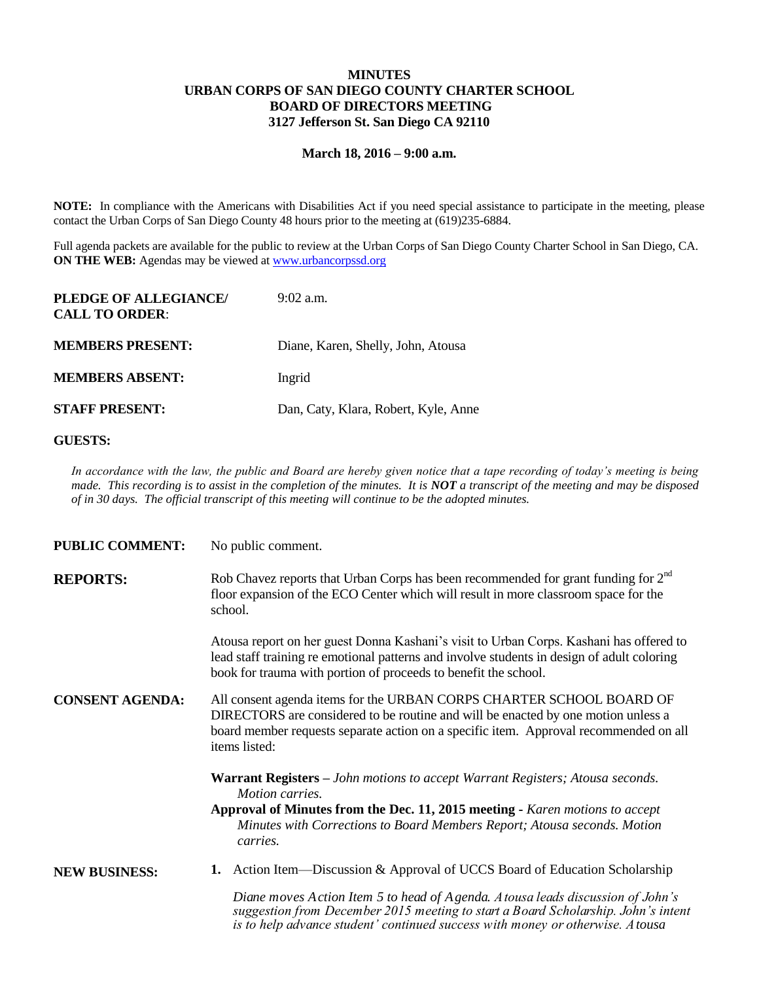## **MINUTES URBAN CORPS OF SAN DIEGO COUNTY CHARTER SCHOOL BOARD OF DIRECTORS MEETING 3127 Jefferson St. San Diego CA 92110**

## **March 18, 2016 – 9:00 a.m.**

**NOTE:** In compliance with the Americans with Disabilities Act if you need special assistance to participate in the meeting, please contact the Urban Corps of San Diego County 48 hours prior to the meeting at (619)235-6884.

Full agenda packets are available for the public to review at the Urban Corps of San Diego County Charter School in San Diego, CA. **ON THE WEB:** Agendas may be viewed at [www.urbancorpssd.org](http://www.urbancorpssd.org/)

| PLEDGE OF ALLEGIANCE/<br><b>CALL TO ORDER:</b> | $9:02$ a.m.                          |
|------------------------------------------------|--------------------------------------|
| <b>MEMBERS PRESENT:</b>                        | Diane, Karen, Shelly, John, Atousa   |
| <b>MEMBERS ABSENT:</b>                         | Ingrid                               |
| <b>STAFF PRESENT:</b>                          | Dan, Caty, Klara, Robert, Kyle, Anne |

## **GUESTS:**

*In accordance with the law, the public and Board are hereby given notice that a tape recording of today's meeting is being made. This recording is to assist in the completion of the minutes. It is NOT a transcript of the meeting and may be disposed of in 30 days. The official transcript of this meeting will continue to be the adopted minutes.*

| <b>PUBLIC COMMENT:</b> | No public comment.                                                                                                                                                                                                                                                              |
|------------------------|---------------------------------------------------------------------------------------------------------------------------------------------------------------------------------------------------------------------------------------------------------------------------------|
| <b>REPORTS:</b>        | Rob Chavez reports that Urban Corps has been recommended for grant funding for $2nd$<br>floor expansion of the ECO Center which will result in more classroom space for the<br>school.                                                                                          |
|                        | Atousa report on her guest Donna Kashani's visit to Urban Corps. Kashani has offered to<br>lead staff training re emotional patterns and involve students in design of adult coloring<br>book for trauma with portion of proceeds to benefit the school.                        |
| <b>CONSENT AGENDA:</b> | All consent agenda items for the URBAN CORPS CHARTER SCHOOL BOARD OF<br>DIRECTORS are considered to be routine and will be enacted by one motion unless a<br>board member requests separate action on a specific item. Approval recommended on all<br>items listed:             |
|                        | <b>Warrant Registers</b> – John motions to accept Warrant Registers; Atousa seconds.<br>Motion carries.<br>Approval of Minutes from the Dec. 11, 2015 meeting - Karen motions to accept<br>Minutes with Corrections to Board Members Report; Atousa seconds. Motion<br>carries. |
| <b>NEW BUSINESS:</b>   | <b>1.</b> Action Item—Discussion & Approval of UCCS Board of Education Scholarship                                                                                                                                                                                              |
|                        | Diane moves Action Item 5 to head of Agenda. Atousa leads discussion of John's<br>suggestion from December 2015 meeting to start a Roard Scholarship John's intent                                                                                                              |

*suggestion from December 2015 meeting to start a Board Scholarship. John's intent is to help advance student' continued success with money or otherwise. Atousa*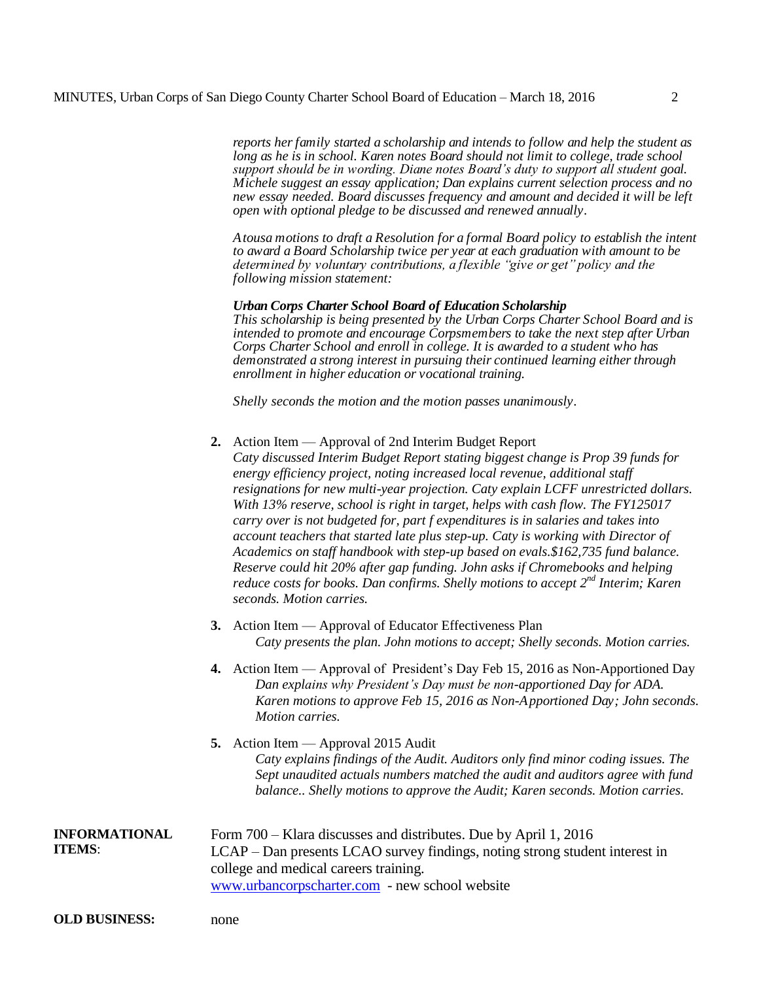*reports her family started a scholarship and intends to follow and help the student as long as he is in school. Karen notes Board should not limit to college, trade school support should be in wording. Diane notes Board's duty to support all student goal. Michele suggest an essay application; Dan explains current selection process and no new essay needed. Board discusses frequency and amount and decided it will be left open with optional pledge to be discussed and renewed annually.*

*Atousa motions to draft a Resolution for a formal Board policy to establish the intent to award a Board Scholarship twice per year at each graduation with amount to be determined by voluntary contributions, a flexible "give or get" policy and the following mission statement:*

## *Urban Corps Charter School Board of Education Scholarship*

*This scholarship is being presented by the Urban Corps Charter School Board and is intended to promote and encourage Corpsmembers to take the next step after Urban Corps Charter School and enroll in college. It is awarded to a student who has demonstrated a strong interest in pursuing their continued learning either through enrollment in higher education or vocational training.*

*Shelly seconds the motion and the motion passes unanimously.*

|                                       | Action Item — Approval of 2nd Interim Budget Report<br>Caty discussed Interim Budget Report stating biggest change is Prop 39 funds for<br>energy efficiency project, noting increased local revenue, additional staff<br>resignations for new multi-year projection. Caty explain LCFF unrestricted dollars.<br>With 13% reserve, school is right in target, helps with cash flow. The FY125017<br>carry over is not budgeted for, part f expenditures is in salaries and takes into<br>account teachers that started late plus step-up. Caty is working with Director of<br>Academics on staff handbook with step-up based on evals. \$162,735 fund balance.<br>Reserve could hit 20% after gap funding. John asks if Chromebooks and helping<br>reduce costs for books. Dan confirms. Shelly motions to accept $2^{nd}$ Interim; Karen<br>seconds. Motion carries. |
|---------------------------------------|-----------------------------------------------------------------------------------------------------------------------------------------------------------------------------------------------------------------------------------------------------------------------------------------------------------------------------------------------------------------------------------------------------------------------------------------------------------------------------------------------------------------------------------------------------------------------------------------------------------------------------------------------------------------------------------------------------------------------------------------------------------------------------------------------------------------------------------------------------------------------|
|                                       | 3. Action Item — Approval of Educator Effectiveness Plan<br>Caty presents the plan. John motions to accept; Shelly seconds. Motion carries.                                                                                                                                                                                                                                                                                                                                                                                                                                                                                                                                                                                                                                                                                                                           |
|                                       | 4. Action Item — Approval of President's Day Feb 15, 2016 as Non-Apportioned Day<br>Dan explains why President's Day must be non-apportioned Day for ADA.<br>Karen motions to approve Feb 15, 2016 as Non-Apportioned Day; John seconds.<br>Motion carries.                                                                                                                                                                                                                                                                                                                                                                                                                                                                                                                                                                                                           |
|                                       | 5. Action Item — Approval 2015 Audit<br>Caty explains findings of the Audit. Auditors only find minor coding issues. The<br>Sept unaudited actuals numbers matched the audit and auditors agree with fund<br>balance Shelly motions to approve the Audit; Karen seconds. Motion carries.                                                                                                                                                                                                                                                                                                                                                                                                                                                                                                                                                                              |
| <b>INFORMATIONAL</b><br><b>ITEMS:</b> | Form 700 – Klara discusses and distributes. Due by April 1, 2016<br>LCAP - Dan presents LCAO survey findings, noting strong student interest in<br>college and medical careers training.<br>www.urbancorpscharter.com - new school website                                                                                                                                                                                                                                                                                                                                                                                                                                                                                                                                                                                                                            |

**OLD BUSINESS:** none